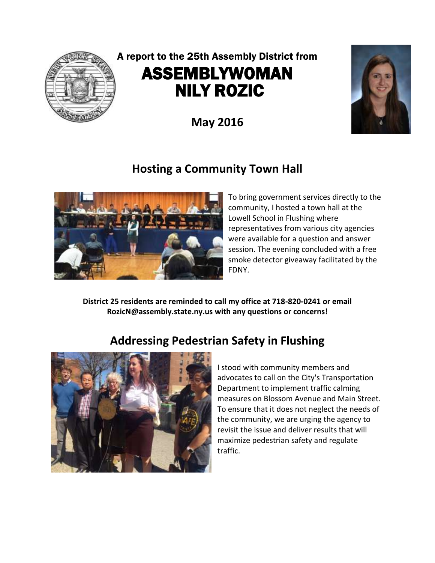

# A report to the 25th Assembly District from ASSEMBLYWOMAN NILY ROZIC

**May 2016**



### **Hosting a Community Town Hall**



To bring government services directly to the community, I hosted a town hall at the Lowell School in Flushing where representatives from various city agencies were available for a question and answer session. The evening concluded with a free smoke detector giveaway facilitated by the FDNY.

**District 25 residents are reminded to call my office at 718-820-0241 or email RozicN@assembly.state.ny.us with any questions or concerns!**

# **Addressing Pedestrian Safety in Flushing**



I stood with community members and advocates to call on the City's Transportation Department to implement traffic calming measures on Blossom Avenue and Main Street. To ensure that it does not neglect the needs of the community, we are urging the agency to revisit the issue and deliver results that will maximize pedestrian safety and regulate traffic.